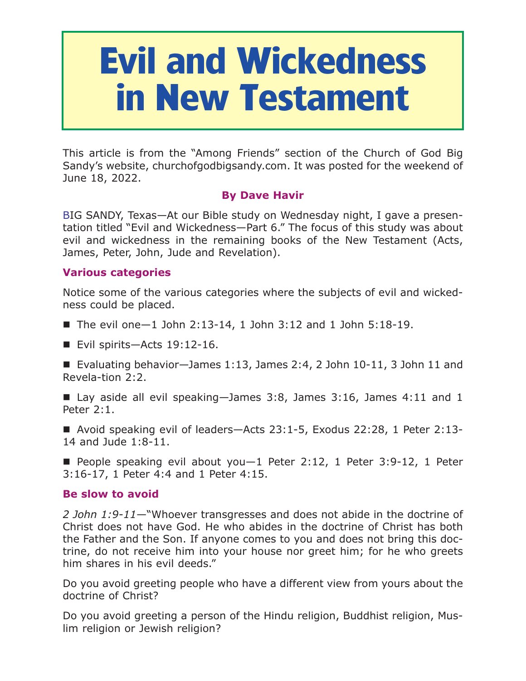# **Evil and Wickedness in New Testament**

This article is from the "Among Friends" section of the Church of God Big Sandy's website, churchofgodbigsandy.com. It was posted for the weekend of June 18, 2022.

# **By Dave Havir**

BIG SANDY, Texas—At our Bible study on Wednesday night, I gave a presentation titled "Evil and Wickedness—Part 6." The focus of this study was about evil and wickedness in the remaining books of the New Testament (Acts, James, Peter, John, Jude and Revelation).

## **Various categories**

Notice some of the various categories where the subjects of evil and wickedness could be placed.

- $\blacksquare$  The evil one -1 John 2:13-14, 1 John 3:12 and 1 John 5:18-19.
- Evil spirits—Acts 19:12-16.

Evaluating behavior—James 1:13, James 2:4, 2 John  $10-11$ , 3 John 11 and Revela-tion 2:2.

Lay aside all evil speaking-James 3:8, James 3:16, James 4:11 and 1 Peter 2:1.

■ Avoid speaking evil of leaders-Acts 23:1-5, Exodus 22:28, 1 Peter 2:13-14 and Jude 1:8-11.

People speaking evil about you  $-1$  Peter 2:12, 1 Peter 3:9-12, 1 Peter 3:16-17, 1 Peter 4:4 and 1 Peter 4:15.

## **Be slow to avoid**

*2 John 1:9-11*—"Whoever transgresses and does not abide in the doctrine of Christ does not have God. He who abides in the doctrine of Christ has both the Father and the Son. If anyone comes to you and does not bring this doctrine, do not receive him into your house nor greet him; for he who greets him shares in his evil deeds."

Do you avoid greeting people who have a different view from yours about the doctrine of Christ?

Do you avoid greeting a person of the Hindu religion, Buddhist religion, Muslim religion or Jewish religion?